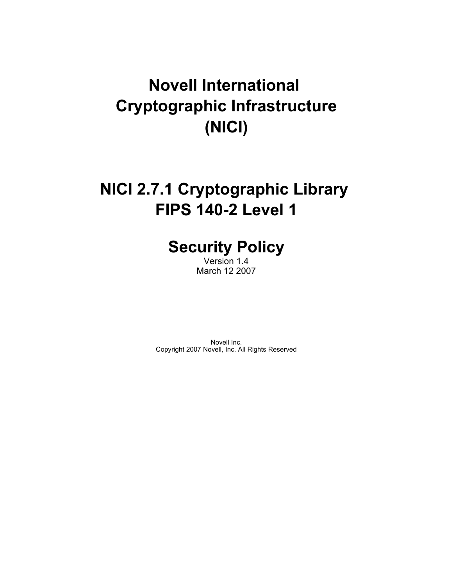# **Novell International Cryptographic Infrastructure (NICI)**

# **NICI 2.7.1 Cryptographic Library FIPS 140-2 Level 1**

# **Security Policy**

Version 1.4 March 12 2007

Novell Inc. Copyright 2007 Novell, Inc. All Rights Reserved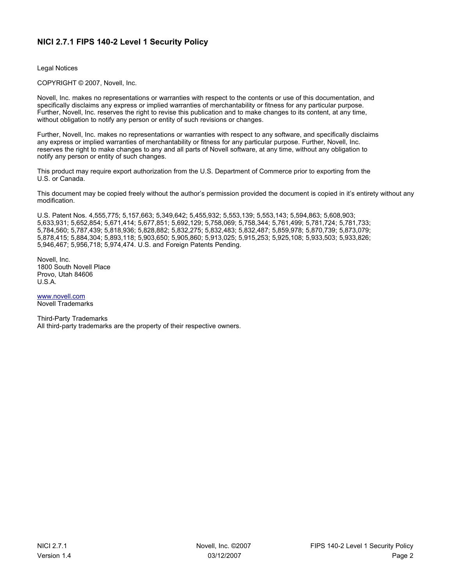Legal Notices

COPYRIGHT © 2007, Novell, Inc.

Novell, Inc. makes no representations or warranties with respect to the contents or use of this documentation, and specifically disclaims any express or implied warranties of merchantability or fitness for any particular purpose. Further, Novell, Inc. reserves the right to revise this publication and to make changes to its content, at any time, without obligation to notify any person or entity of such revisions or changes.

Further, Novell, Inc. makes no representations or warranties with respect to any software, and specifically disclaims any express or implied warranties of merchantability or fitness for any particular purpose. Further, Novell, Inc. reserves the right to make changes to any and all parts of Novell software, at any time, without any obligation to notify any person or entity of such changes.

This product may require export authorization from the U.S. Department of Commerce prior to exporting from the U.S. or Canada.

This document may be copied freely without the author's permission provided the document is copied in it's entirety without any modification.

U.S. Patent Nos. 4,555,775; 5,157,663; 5,349,642; 5,455,932; 5,553,139; 5,553,143; 5,594,863; 5,608,903; 5,633,931; 5,652,854; 5,671,414; 5,677,851; 5,692,129; 5,758,069; 5,758,344; 5,761,499; 5,781,724; 5,781,733; 5,784,560; 5,787,439; 5,818,936; 5,828,882; 5,832,275; 5,832,483; 5,832,487; 5,859,978; 5,870,739; 5,873,079; 5,878,415; 5,884,304; 5,893,118; 5,903,650; 5,905,860; 5,913,025; 5,915,253; 5,925,108; 5,933,503; 5,933,826; 5,946,467; 5,956,718; 5,974,474. U.S. and Foreign Patents Pending.

Novell, Inc. 1800 South Novell Place Provo, Utah 84606 U.S.A.

[www.novell.com](http://www.novell.com/) Novell Trademarks

Third-Party Trademarks All third-party trademarks are the property of their respective owners.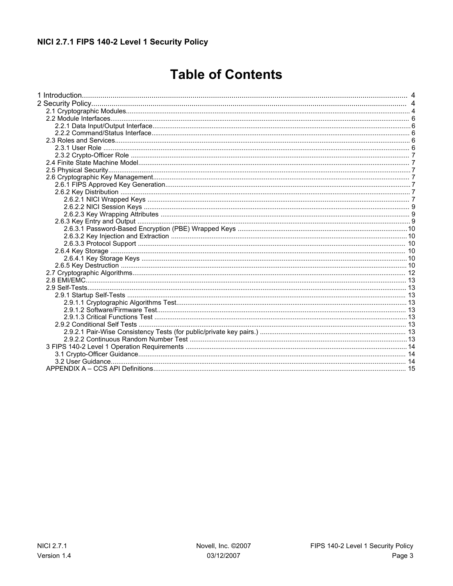## **Table of Contents**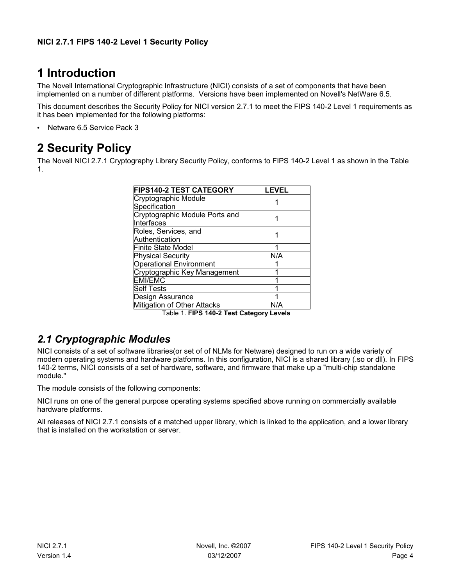## **1 Introduction**

The Novell International Cryptographic Infrastructure (NICI) consists of a set of components that have been implemented on a number of different platforms. Versions have been implemented on Novell's NetWare 6.5.

This document describes the Security Policy for NICI version 2.7.1 to meet the FIPS 140-2 Level 1 requirements as it has been implemented for the following platforms:

• Netware 6.5 Service Pack 3

## **2 Security Policy**

The Novell NICI 2.7.1 Cryptography Library Security Policy, conforms to FIPS 140-2 Level 1 as shown in the Table 1.

| <b>FIPS140-2 TEST CATEGORY</b> | LEVEL |
|--------------------------------|-------|
| Cryptographic Module           |       |
| Specification                  |       |
| Cryptographic Module Ports and |       |
| Interfaces                     |       |
| Roles, Services, and           |       |
| Authentication                 |       |
| Finite State Model             |       |
| <b>Physical Security</b>       | N/A   |
| <b>Operational Environment</b> |       |
| Cryptographic Key Management   |       |
| <b>EMI/EMC</b>                 | 4     |
| <b>Self Tests</b>              |       |
| Design Assurance               | ◢     |
| Mitigation of Other Attacks    |       |

Table 1. **FIPS 140-2 Test Category Levels**

## *2.1 Cryptographic Modules*

NICI consists of a set of software libraries(or set of of NLMs for Netware) designed to run on a wide variety of modern operating systems and hardware platforms. In this configuration, NICI is a shared library (.so or dll). In FIPS 140-2 terms, NICI consists of a set of hardware, software, and firmware that make up a "multi-chip standalone module."

The module consists of the following components:

NICI runs on one of the general purpose operating systems specified above running on commercially available hardware platforms.

All releases of NICI 2.7.1 consists of a matched upper library, which is linked to the application, and a lower library that is installed on the workstation or server.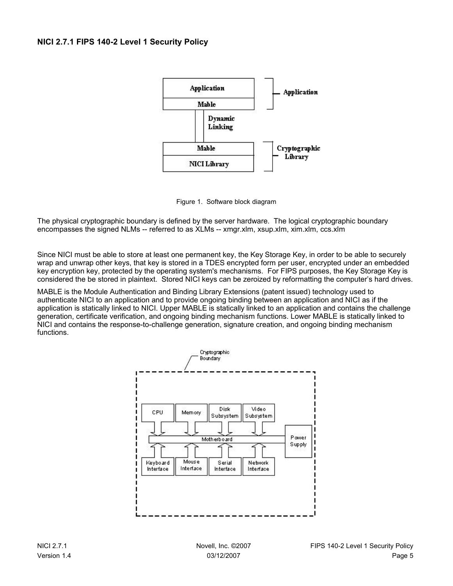

Figure 1. Software block diagram

The physical cryptographic boundary is defined by the server hardware. The logical cryptographic boundary encompasses the signed NLMs -- referred to as XLMs -- xmgr.xlm, xsup.xlm, xim.xlm, ccs.xlm

Since NICI must be able to store at least one permanent key, the Key Storage Key, in order to be able to securely wrap and unwrap other keys, that key is stored in a TDES encrypted form per user, encrypted under an embedded key encryption key, protected by the operating system's mechanisms. For FIPS purposes, the Key Storage Key is considered the be stored in plaintext. Stored NICI keys can be zeroized by reformatting the computer's hard drives.

MABLE is the Module Authentication and Binding Library Extensions (patent issued) technology used to authenticate NICI to an application and to provide ongoing binding between an application and NICI as if the application is statically linked to NICI. Upper MABLE is statically linked to an application and contains the challenge generation, certificate verification, and ongoing binding mechanism functions. Lower MABLE is statically linked to NICI and contains the response-to-challenge generation, signature creation, and ongoing binding mechanism functions.

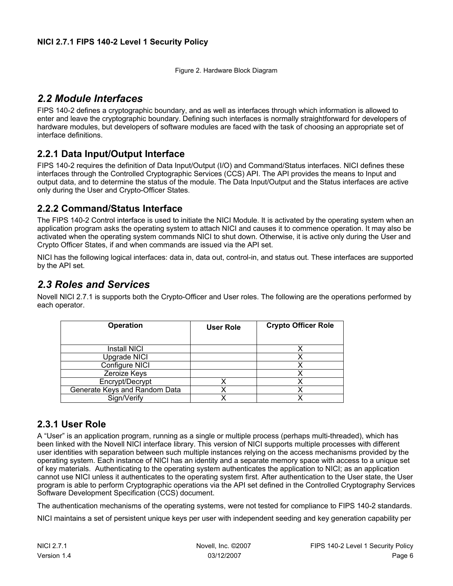Figure 2. Hardware Block Diagram

## *2.2 Module Interfaces*

FIPS 140-2 defines a cryptographic boundary, and as well as interfaces through which information is allowed to enter and leave the cryptographic boundary. Defining such interfaces is normally straightforward for developers of hardware modules, but developers of software modules are faced with the task of choosing an appropriate set of interface definitions.

## **2.2.1 Data Input/Output Interface**

FIPS 140-2 requires the definition of Data Input/Output (I/O) and Command/Status interfaces. NICI defines these interfaces through the Controlled Cryptographic Services (CCS) API. The API provides the means to Input and output data, and to determine the status of the module. The Data Input/Output and the Status interfaces are active only during the User and Crypto-Officer States.

#### **2.2.2 Command/Status Interface**

The FIPS 140-2 Control interface is used to initiate the NICI Module. It is activated by the operating system when an application program asks the operating system to attach NICI and causes it to commence operation. It may also be activated when the operating system commands NICI to shut down. Otherwise, it is active only during the User and Crypto Officer States, if and when commands are issued via the API set.

NICI has the following logical interfaces: data in, data out, control-in, and status out. These interfaces are supported by the API set.

## *2.3 Roles and Services*

Novell NICI 2.7.1 is supports both the Crypto-Officer and User roles. The following are the operations performed by each operator.

| <b>Operation</b>              | <b>User Role</b> | <b>Crypto Officer Role</b> |
|-------------------------------|------------------|----------------------------|
| Install NICI                  |                  |                            |
| <b>Upgrade NICI</b>           |                  | х                          |
| Configure NICI                |                  |                            |
| Zeroize Keys                  |                  |                            |
| Encrypt/Decrypt               | х                |                            |
| Generate Keys and Random Data | x                |                            |
| Sign/Verify                   |                  |                            |

#### **2.3.1 User Role**

A "User" is an application program, running as a single or multiple process (perhaps multi-threaded), which has been linked with the Novell NICI interface library. This version of NICI supports multiple processes with different user identities with separation between such multiple instances relying on the access mechanisms provided by the operating system. Each instance of NICI has an identity and a separate memory space with access to a unique set of key materials. Authenticating to the operating system authenticates the application to NICI; as an application cannot use NICI unless it authenticates to the operating system first. After authentication to the User state, the User program is able to perform Cryptographic operations via the API set defined in the Controlled Cryptography Services Software Development Specification (CCS) document.

The authentication mechanisms of the operating systems, were not tested for compliance to FIPS 140-2 standards.

NICI maintains a set of persistent unique keys per user with independent seeding and key generation capability per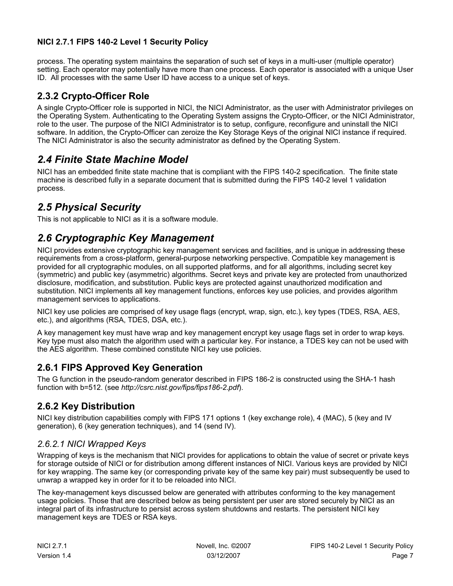process. The operating system maintains the separation of such set of keys in a multi-user (multiple operator) setting. Each operator may potentially have more than one process. Each operator is associated with a unique User ID. All processes with the same User ID have access to a unique set of keys.

#### **2.3.2 Crypto-Officer Role**

A single Crypto-Officer role is supported in NICI, the NICI Administrator, as the user with Administrator privileges on the Operating System. Authenticating to the Operating System assigns the Crypto-Officer, or the NICI Administrator, role to the user. The purpose of the NICI Administrator is to setup, configure, reconfigure and uninstall the NICI software. In addition, the Crypto-Officer can zeroize the Key Storage Keys of the original NICI instance if required. The NICI Administrator is also the security administrator as defined by the Operating System.

## *2.4 Finite State Machine Model*

NICI has an embedded finite state machine that is compliant with the FIPS 140-2 specification. The finite state machine is described fully in a separate document that is submitted during the FIPS 140-2 level 1 validation process.

## *2.5 Physical Security*

This is not applicable to NICI as it is a software module.

## *2.6 Cryptographic Key Management*

NICI provides extensive cryptographic key management services and facilities, and is unique in addressing these requirements from a cross-platform, general-purpose networking perspective. Compatible key management is provided for all cryptographic modules, on all supported platforms, and for all algorithms, including secret key (symmetric) and public key (asymmetric) algorithms. Secret keys and private key are protected from unauthorized disclosure, modification, and substitution. Public keys are protected against unauthorized modification and substitution. NICI implements all key management functions, enforces key use policies, and provides algorithm management services to applications.

NICI key use policies are comprised of key usage flags (encrypt, wrap, sign, etc.), key types (TDES, RSA, AES, etc.), and algorithms (RSA, TDES, DSA, etc.).

A key management key must have wrap and key management encrypt key usage flags set in order to wrap keys. Key type must also match the algorithm used with a particular key. For instance, a TDES key can not be used with the AES algorithm. These combined constitute NICI key use policies.

## **2.6.1 FIPS Approved Key Generation**

The G function in the pseudo-random generator described in FIPS 186-2 is constructed using the SHA-1 hash function with b=512. (see *http://csrc.nist.gov/fips/fips186-2.pdf*).

## **2.6.2 Key Distribution**

NICI key distribution capabilities comply with FIPS 171 options 1 (key exchange role), 4 (MAC), 5 (key and IV generation), 6 (key generation techniques), and 14 (send IV).

#### *2.6.2.1 NICI Wrapped Keys*

Wrapping of keys is the mechanism that NICI provides for applications to obtain the value of secret or private keys for storage outside of NICI or for distribution among different instances of NICI. Various keys are provided by NICI for key wrapping. The same key (or corresponding private key of the same key pair) must subsequently be used to unwrap a wrapped key in order for it to be reloaded into NICI.

The key-management keys discussed below are generated with attributes conforming to the key management usage policies. Those that are described below as being persistent per user are stored securely by NICI as an integral part of its infrastructure to persist across system shutdowns and restarts. The persistent NICI key management keys are TDES or RSA keys.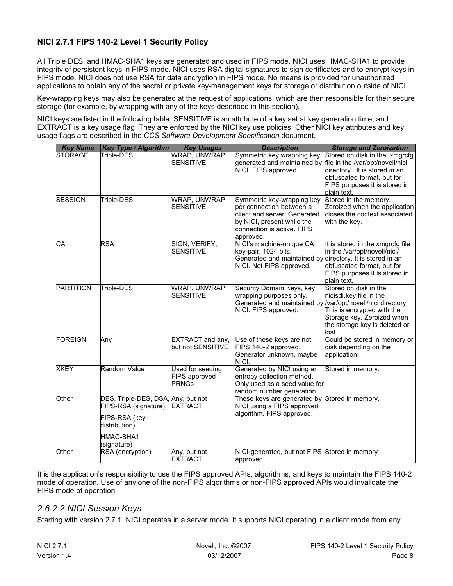All Triple DES, and HMAC-SHA1 keys are generated and used in FIPS mode. NICI uses HMAC-SHA1 to provide integrity of persistent keys in FIPS mode. NICI uses RSA digital signatures to sign certificates and to encrypt keys in FIPS mode. NICI does not use RSA for data encryption in FIPS mode. No means is provided for unauthorized applications to obtain any of the secret or private key-management keys for storage or distribution outside of NICI.

Key-wrapping keys may also be generated at the request of applications, which are then responsible for their secure storage (for example, by wrapping with any of the keys described in this section).

NICI keys are listed in the following table. SENSITIVE is an attribute of a key set at key generation time, and EXTRACT is a key usage flag. They are enforced by the NICI key use policies. Other NICI key attributes and key usage flags are described in the *CCS Software Development Specification* document.

| <b>Key Name</b>        | <b>Key Type / Algorithm</b>                                                                                                | <b>Key Usages</b>                            | <b>Description</b>                                                                                                                                              | <b>Storage and Zeroization</b>                                                                                                                                                   |
|------------------------|----------------------------------------------------------------------------------------------------------------------------|----------------------------------------------|-----------------------------------------------------------------------------------------------------------------------------------------------------------------|----------------------------------------------------------------------------------------------------------------------------------------------------------------------------------|
| <b>STORAGE</b>         | Triple-DES                                                                                                                 | WRAP, UNWRAP,<br><b>SENSITIVE</b>            | Symmetric key wrapping key,<br>generated and maintained by<br>NICI. FIPS approved.                                                                              | Stored on disk in the xmgrcfg<br>file in the /var/opt/novell/nici<br>directory. It is stored in an<br>obfuscated format, but for<br>FIPS purposes it is stored in<br>plain text. |
| <b>SESSION</b>         | Triple-DES                                                                                                                 | WRAP, UNWRAP,<br><b>SENSITIVE</b>            | Symmetric key-wrapping key<br>per connection between a<br>client and server. Generated<br>by NICI, present while the<br>connection is active. FIPS<br>approved. | Stored in the memory.<br>Zeroized when the application<br>closes the context associated<br>with the key.                                                                         |
| $\overline{\text{CA}}$ | <b>RSA</b>                                                                                                                 | SIGN, VERIFY,<br><b>SENSITIVE</b>            | NICI's machine-unique CA<br>key-pair, 1024 bits.<br>Generated and maintained by directory. It is stored in an<br>NICI. Not FIPS approved.                       | It is stored in the xmgrcfg file<br>in the /var/opt/novell/nici/<br>obfuscated format, but for<br>FIPS purposes it is stored in<br>blain text.                                   |
| <b>PARTITION</b>       | Triple-DES                                                                                                                 | WRAP, UNWRAP,<br><b>SENSITIVE</b>            | Security Domain Keys, key<br>wrapping purposes only.<br>Generated and maintained by var/opt/novell/nici directory.<br>NICI. FIPS approved.                      | Stored on disk in the<br>nicisdi.key file in the<br>This is encrypted with the<br>Storage key. Zeroized when<br>the storage key is deleted or<br>lost .                          |
| FOREIGN                | Any                                                                                                                        | <b>EXTRACT</b> and any,<br>but not SENSITIVE | Use of these keys are not<br>FIPS 140-2 approved.<br>Generator unknown, maybe<br>NICI.                                                                          | Could be stored in memory or<br>disk depending on the<br>application.                                                                                                            |
| <b>XKEY</b>            | Random Value                                                                                                               | Used for seeding<br>FIPS approved<br>PRNGs   | Generated by NICI using an<br>entropy collection method.<br>Only used as a seed value for<br>random number generation.                                          | Stored in memory.                                                                                                                                                                |
| Other                  | DES, Triple-DES, DSA, Any, but not<br>FIPS-RSA (signature),<br>FIPS-RSA (key<br>distribution),<br>HMAC-SHA1<br>(signature) | <b>EXTRACT</b>                               | These keys are generated by Stored in memory.<br>NICI using a FIPS approved<br>algorithm. FIPS approved.                                                        |                                                                                                                                                                                  |
| Other                  | RSA (encryption)                                                                                                           | Any, but not<br><b>EXTRACT</b>               | NICI-generated, but not FIPS Stored in memory<br>approved.                                                                                                      |                                                                                                                                                                                  |

It is the application's responsibility to use the FIPS approved APIs, algorithms, and keys to maintain the FIPS 140-2 mode of operation. Use of any one of the non-FIPS algorithms or non-FIPS approved APIs would invalidate the FIPS mode of operation.

#### *2.6.2.2 NICI Session Keys*

Starting with version 2.7.1, NICI operates in a server mode. It supports NICI operating in a client mode from any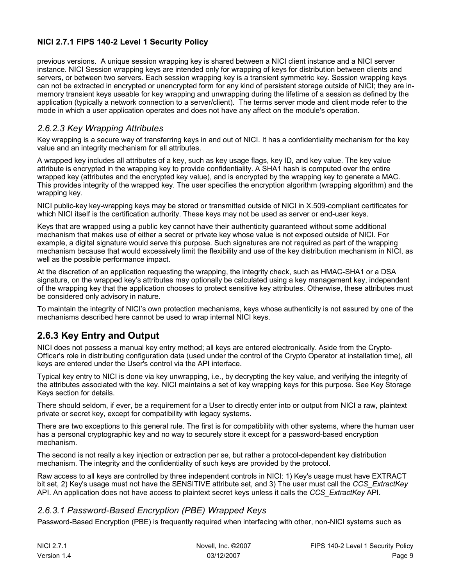previous versions. A unique session wrapping key is shared between a NICI client instance and a NICI server instance. NICI Session wrapping keys are intended only for wrapping of keys for distribution between clients and servers, or between two servers. Each session wrapping key is a transient symmetric key. Session wrapping keys can not be extracted in encrypted or unencrypted form for any kind of persistent storage outside of NICI; they are inmemory transient keys useable for key wrapping and unwrapping during the lifetime of a session as defined by the application (typically a network connection to a server/client). The terms server mode and client mode refer to the mode in which a user application operates and does not have any affect on the module's operation.

#### *2.6.2.3 Key Wrapping Attributes*

Key wrapping is a secure way of transferring keys in and out of NICI. It has a confidentiality mechanism for the key value and an integrity mechanism for all attributes.

A wrapped key includes all attributes of a key, such as key usage flags, key ID, and key value. The key value attribute is encrypted in the wrapping key to provide confidentiality. A SHA1 hash is computed over the entire wrapped key (attributes and the encrypted key value), and is encrypted by the wrapping key to generate a MAC. This provides integrity of the wrapped key. The user specifies the encryption algorithm (wrapping algorithm) and the wrapping key.

NICI public-key key-wrapping keys may be stored or transmitted outside of NICI in X.509-compliant certificates for which NICI itself is the certification authority. These keys may not be used as server or end-user keys.

Keys that are wrapped using a public key cannot have their authenticity guaranteed without some additional mechanism that makes use of either a secret or private key whose value is not exposed outside of NICI. For example, a digital signature would serve this purpose. Such signatures are not required as part of the wrapping mechanism because that would excessively limit the flexibility and use of the key distribution mechanism in NICI, as well as the possible performance impact.

At the discretion of an application requesting the wrapping, the integrity check, such as HMAC-SHA1 or a DSA signature, on the wrapped key's attributes may optionally be calculated using a key management key, independent of the wrapping key that the application chooses to protect sensitive key attributes. Otherwise, these attributes must be considered only advisory in nature.

To maintain the integrity of NICI's own protection mechanisms, keys whose authenticity is not assured by one of the mechanisms described here cannot be used to wrap internal NICI keys.

## **2.6.3 Key Entry and Output**

NICI does not possess a manual key entry method; all keys are entered electronically. Aside from the Crypto-Officer's role in distributing configuration data (used under the control of the Crypto Operator at installation time), all keys are entered under the User's control via the API interface.

Typical key entry to NICI is done via key unwrapping, i.e., by decrypting the key value, and verifying the integrity of the attributes associated with the key. NICI maintains a set of key wrapping keys for this purpose. See Key Storage Keys section for details.

There should seldom, if ever, be a requirement for a User to directly enter into or output from NICI a raw, plaintext private or secret key, except for compatibility with legacy systems.

There are two exceptions to this general rule. The first is for compatibility with other systems, where the human user has a personal cryptographic key and no way to securely store it except for a password-based encryption mechanism.

The second is not really a key injection or extraction per se, but rather a protocol-dependent key distribution mechanism. The integrity and the confidentiality of such keys are provided by the protocol.

Raw access to all keys are controlled by three independent controls in NICI: 1) Key's usage must have EXTRACT bit set, 2) Key's usage must not have the SENSITIVE attribute set, and 3) The user must call the *CCS\_ExtractKey* API. An application does not have access to plaintext secret keys unless it calls the *CCS\_ExtractKey* API.

#### *2.6.3.1 Password-Based Encryption (PBE) Wrapped Keys*

Password-Based Encryption (PBE) is frequently required when interfacing with other, non-NICI systems such as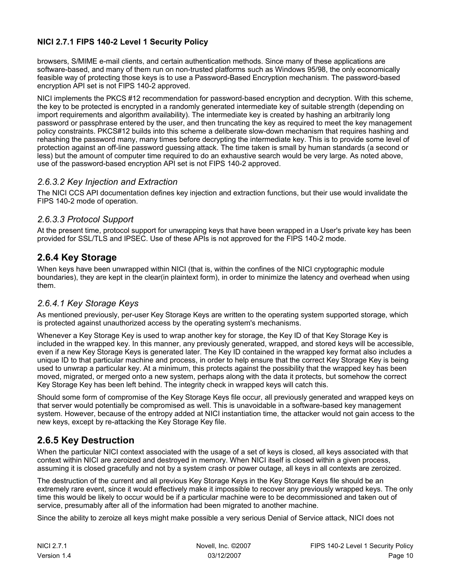browsers, S/MIME e-mail clients, and certain authentication methods. Since many of these applications are software-based, and many of them run on non-trusted platforms such as Windows 95/98, the only economically feasible way of protecting those keys is to use a Password-Based Encryption mechanism. The password-based encryption API set is not FIPS 140-2 approved.

NICI implements the PKCS #12 recommendation for password-based encryption and decryption. With this scheme, the key to be protected is encrypted in a randomly generated intermediate key of suitable strength (depending on import requirements and algorithm availability). The intermediate key is created by hashing an arbitrarily long password or passphrase entered by the user, and then truncating the key as required to meet the key management policy constraints. PKCS#12 builds into this scheme a deliberate slow-down mechanism that requires hashing and rehashing the password many, many times before decrypting the intermediate key. This is to provide some level of protection against an off-line password guessing attack. The time taken is small by human standards (a second or less) but the amount of computer time required to do an exhaustive search would be very large. As noted above, use of the password-based encryption API set is not FIPS 140-2 approved.

#### *2.6.3.2 Key Injection and Extraction*

The NICI CCS API documentation defines key injection and extraction functions, but their use would invalidate the FIPS 140-2 mode of operation.

#### *2.6.3.3 Protocol Support*

At the present time, protocol support for unwrapping keys that have been wrapped in a User's private key has been provided for SSL/TLS and IPSEC. Use of these APIs is not approved for the FIPS 140-2 mode.

## **2.6.4 Key Storage**

When keys have been unwrapped within NICI (that is, within the confines of the NICI cryptographic module boundaries), they are kept in the clear(in plaintext form), in order to minimize the latency and overhead when using them.

#### *2.6.4.1 Key Storage Keys*

As mentioned previously, per-user Key Storage Keys are written to the operating system supported storage, which is protected against unauthorized access by the operating system's mechanisms.

Whenever a Key Storage Key is used to wrap another key for storage, the Key ID of that Key Storage Key is included in the wrapped key. In this manner, any previously generated, wrapped, and stored keys will be accessible, even if a new Key Storage Keys is generated later. The Key ID contained in the wrapped key format also includes a unique ID to that particular machine and process, in order to help ensure that the correct Key Storage Key is being used to unwrap a particular key. At a minimum, this protects against the possibility that the wrapped key has been moved, migrated, or merged onto a new system, perhaps along with the data it protects, but somehow the correct Key Storage Key has been left behind. The integrity check in wrapped keys will catch this.

Should some form of compromise of the Key Storage Keys file occur, all previously generated and wrapped keys on that server would potentially be compromised as well. This is unavoidable in a software-based key management system. However, because of the entropy added at NICI instantiation time, the attacker would not gain access to the new keys, except by re-attacking the Key Storage Key file.

## **2.6.5 Key Destruction**

When the particular NICI context associated with the usage of a set of keys is closed, all keys associated with that context within NICI are zeroized and destroyed in memory. When NICI itself is closed within a given process, assuming it is closed gracefully and not by a system crash or power outage, all keys in all contexts are zeroized.

The destruction of the current and all previous Key Storage Keys in the Key Storage Keys file should be an extremely rare event, since it would effectively make it impossible to recover any previously wrapped keys. The only time this would be likely to occur would be if a particular machine were to be decommissioned and taken out of service, presumably after all of the information had been migrated to another machine.

Since the ability to zeroize all keys might make possible a very serious Denial of Service attack, NICI does not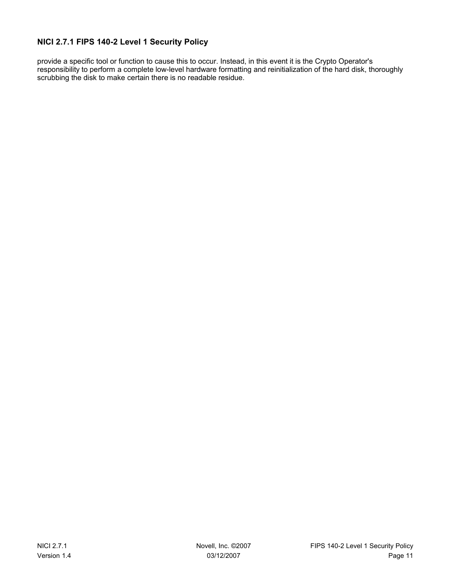provide a specific tool or function to cause this to occur. Instead, in this event it is the Crypto Operator's responsibility to perform a complete low-level hardware formatting and reinitialization of the hard disk, thoroughly scrubbing the disk to make certain there is no readable residue.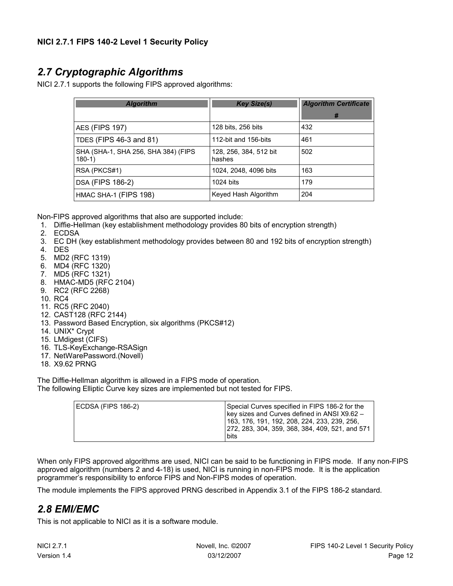## *2.7 Cryptographic Algorithms*

NICI 2.7.1 supports the following FIPS approved algorithms:

| <b>Algorithm</b>                                | <b>Key Size(s)</b>               | <b>Algorithm Certificate</b> |
|-------------------------------------------------|----------------------------------|------------------------------|
|                                                 |                                  | #                            |
| AES (FIPS 197)                                  | 128 bits, 256 bits               | 432                          |
| TDES (FIPS 46-3 and 81)                         | 112-bit and 156-bits             | 461                          |
| SHA (SHA-1, SHA 256, SHA 384) (FIPS<br>$180-1)$ | 128, 256, 384, 512 bit<br>hashes | 502                          |
| RSA (PKCS#1)                                    | 1024, 2048, 4096 bits            | 163                          |
| DSA (FIPS 186-2)                                | 1024 bits                        | 179                          |
| HMAC SHA-1 (FIPS 198)                           | Keyed Hash Algorithm             | 204                          |

Non-FIPS approved algorithms that also are supported include:

- 1. Diffie-Hellman (key establishment methodology provides 80 bits of encryption strength)
- 2. ECDSA
- 3. EC DH (key establishment methodology provides between 80 and 192 bits of encryption strength)
- 4. DES
- 5. MD2 (RFC 1319)
- 6. MD4 (RFC 1320)
- 7. MD5 (RFC 1321)
- 8. HMAC-MD5 (RFC 2104)
- 9. RC2 (RFC 2268)
- 10. RC4
- 11. RC5 (RFC 2040)
- 12. CAST128 (RFC 2144)
- 13. Password Based Encryption, six algorithms (PKCS#12)
- 14. UNIX\* Crypt
- 15. LMdigest (CIFS)
- 16. TLS-KeyExchange-RSASign
- 17. NetWarePassword.(Novell)
- 18. X9.62 PRNG

The Diffie-Hellman algorithm is allowed in a FIPS mode of operation. The following Elliptic Curve key sizes are implemented but not tested for FIPS.

| ECDSA (FIPS 186-2) | Special Curves specified in FIPS 186-2 for the<br>key sizes and Curves defined in ANSI X9.62 -<br> 163, 176, 191, 192, 208, 224, 233, 239, 256,<br>272, 283, 304, 359, 368, 384, 409, 521, and 571<br>bits |
|--------------------|------------------------------------------------------------------------------------------------------------------------------------------------------------------------------------------------------------|
|--------------------|------------------------------------------------------------------------------------------------------------------------------------------------------------------------------------------------------------|

When only FIPS approved algorithms are used, NICI can be said to be functioning in FIPS mode. If any non-FIPS approved algorithm (numbers 2 and 4-18) is used, NICI is running in non-FIPS mode. It is the application programmer's responsibility to enforce FIPS and Non-FIPS modes of operation.

The module implements the FIPS approved PRNG described in Appendix 3.1 of the FIPS 186-2 standard.

## *2.8 EMI/EMC*

This is not applicable to NICI as it is a software module.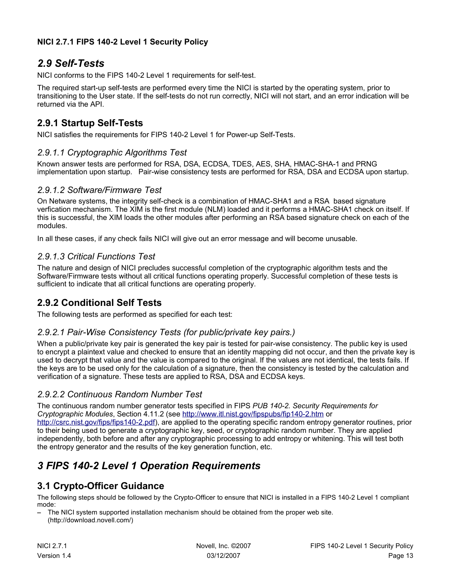## *2.9 Self-Tests*

NICI conforms to the FIPS 140-2 Level 1 requirements for self-test.

The required start-up self-tests are performed every time the NICI is started by the operating system, prior to transitioning to the User state. If the self-tests do not run correctly, NICI will not start, and an error indication will be returned via the API.

### **2.9.1 Startup Self-Tests**

NICI satisfies the requirements for FIPS 140-2 Level 1 for Power-up Self-Tests.

#### *2.9.1.1 Cryptographic Algorithms Test*

Known answer tests are performed for RSA, DSA, ECDSA, TDES, AES, SHA, HMAC-SHA-1 and PRNG implementation upon startup. Pair-wise consistency tests are performed for RSA, DSA and ECDSA upon startup.

#### *2.9.1.2 Software/Firmware Test*

On Netware systems, the integrity self-check is a combination of HMAC-SHA1 and a RSA based signature verfication mechanism. The XIM is the first module (NLM) loaded and it performs a HMAC-SHA1 check on itself. If this is successful, the XIM loads the other modules after performing an RSA based signature check on each of the modules.

In all these cases, if any check fails NICI will give out an error message and will become unusable.

#### *2.9.1.3 Critical Functions Test*

The nature and design of NICI precludes successful completion of the cryptographic algorithm tests and the Software/Firmware tests without all critical functions operating properly. Successful completion of these tests is sufficient to indicate that all critical functions are operating properly.

#### **2.9.2 Conditional Self Tests**

The following tests are performed as specified for each test:

#### *2.9.2.1 Pair-Wise Consistency Tests (for public/private key pairs.)*

When a public/private key pair is generated the key pair is tested for pair-wise consistency. The public key is used to encrypt a plaintext value and checked to ensure that an identity mapping did not occur, and then the private key is used to decrypt that value and the value is compared to the original. If the values are not identical, the tests fails. If the keys are to be used only for the calculation of a signature, then the consistency is tested by the calculation and verification of a signature. These tests are applied to RSA, DSA and ECDSA keys.

#### *2.9.2.2 Continuous Random Number Test*

The continuous random number generator tests specified in FIPS *PUB 140-2. Security Requirements for Cryptographic Modules*, Section 4.11.2 (see <http://www.itl.nist.gov/fipspubs/fip140-2.htm> or [http://csrc.nist.gov/fips/fips140-2.pdf\)](http://csrc.nist.gov/fips/fips140-2.pdf), are applied to the operating specific random entropy generator routines, prior to their being used to generate a cryptographic key, seed, or cryptographic random number. They are applied independently, both before and after any cryptographic processing to add entropy or whitening. This will test both the entropy generator and the results of the key generation function, etc.

## *3 FIPS 140-2 Level 1 Operation Requirements*

## **3.1 Crypto-Officer Guidance**

The following steps should be followed by the Crypto-Officer to ensure that NICI is installed in a FIPS 140-2 Level 1 compliant mode:

– The NICI system supported installation mechanism should be obtained from the proper web site. (http://download.novell.com/)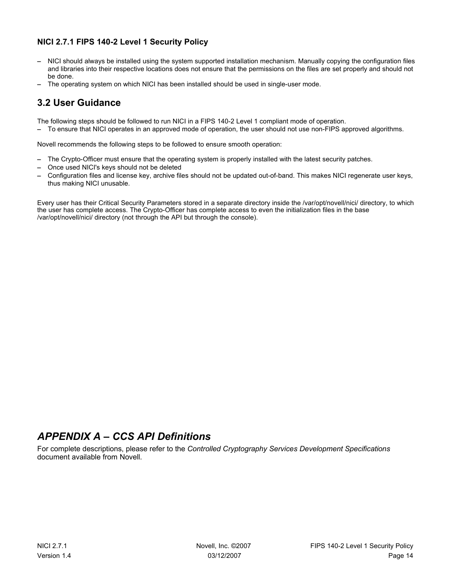- NICI should always be installed using the system supported installation mechanism. Manually copying the configuration files and libraries into their respective locations does not ensure that the permissions on the files are set properly and should not be done.
- The operating system on which NICI has been installed should be used in single-user mode.

## **3.2 User Guidance**

The following steps should be followed to run NICI in a FIPS 140-2 Level 1 compliant mode of operation.

– To ensure that NICI operates in an approved mode of operation, the user should not use non-FIPS approved algorithms.

Novell recommends the following steps to be followed to ensure smooth operation:

- The Crypto-Officer must ensure that the operating system is properly installed with the latest security patches.
- Once used NICI's keys should not be deleted
- Configuration files and license key, archive files should not be updated out-of-band. This makes NICI regenerate user keys, thus making NICI unusable.

Every user has their Critical Security Parameters stored in a separate directory inside the /var/opt/novell/nici/ directory, to which the user has complete access. The Crypto-Officer has complete access to even the initialization files in the base /var/opt/novell/nici/ directory (not through the API but through the console).

## *APPENDIX A – CCS API Definitions*

For complete descriptions, please refer to the *Controlled Cryptography Services Development Specifications* document available from Novell.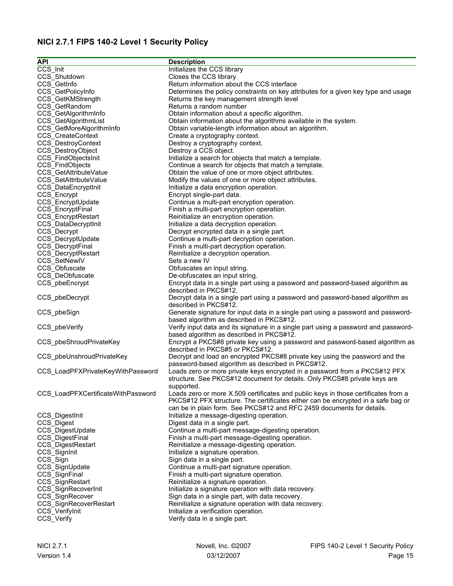| <b>API</b>                             | <b>Description</b>                                                                                      |
|----------------------------------------|---------------------------------------------------------------------------------------------------------|
| CCS Init                               | Initializes the CCS library                                                                             |
| CCS Shutdown                           | Closes the CCS library                                                                                  |
| CCS GetInfo                            | Return information about the CCS interface                                                              |
| CCS_GetPolicyInfo                      | Determines the policy constraints on key attributes for a given key type and usage                      |
| CCS GetKMStrength                      | Returns the key management strength level                                                               |
| CCS GetRandom                          | Returns a random number                                                                                 |
| CCS_GetAlgorithmInfo                   | Obtain information about a specific algorithm.                                                          |
| CCS GetAlgorithmList                   | Obtain information about the algorithms available in the system.                                        |
| CCS_GetMoreAlgorithmInfo               | Obtain variable-length information about an algorithm.                                                  |
| CCS CreateContext                      | Create a cryptography context.                                                                          |
| CCS_DestroyContext                     | Destroy a cryptography context.                                                                         |
| CCS_DestroyObject                      | Destroy a CCS object.                                                                                   |
| CCS FindObjectsInit                    | Initialize a search for objects that match a template.                                                  |
| CCS FindObjects                        | Continue a search for objects that match a template.                                                    |
| CCS GetAttributeValue                  | Obtain the value of one or more object attributes.                                                      |
| CCS SetAttributeValue                  | Modify the values of one or more object attributes.                                                     |
| CCS_DataEncryptInit                    | Initialize a data encryption operation.                                                                 |
| CCS Encrypt                            | Encrypt single-part data.                                                                               |
| CCS EncryptUpdate                      | Continue a multi-part encryption operation.                                                             |
| CCS_EncryptFinal                       | Finish a multi-part encryption operation.                                                               |
| CCS_EncryptRestart                     | Reinitialize an encryption operation.                                                                   |
| CCS DataDecryptInit                    | Initialize a data decryption operation.                                                                 |
| CCS_Decrypt                            | Decrypt encrypted data in a single part.<br>Continue a multi-part decryption operation.                 |
| CCS_DecryptUpdate                      |                                                                                                         |
| CCS_DecryptFinal<br>CCS DecryptRestart | Finish a multi-part decryption operation.<br>Reinitialize a decryption operation.                       |
| CCS SetNewIV                           | Sets a new IV                                                                                           |
| CCS Obfuscate                          | Obfuscates an input string.                                                                             |
| CCS DeObfuscate                        | De-obfuscates an input string.                                                                          |
| CCS_pbeEncrypt                         | Encrypt data in a single part using a password and password-based algorithm as                          |
|                                        | described in PKCS#12.                                                                                   |
| CCS_pbeDecrypt                         | Decrypt data in a single part using a password and password-based algorithm as                          |
|                                        | described in PKCS#12.                                                                                   |
| CCS_pbeSign                            | Generate signature for input data in a single part using a password and password-                       |
|                                        | based algorithm as described in PKCS#12.                                                                |
| CCS_pbeVerify                          | Verify input data and its signature in a single part using a password and password-                     |
|                                        | based algorithm as described in PKCS#12.                                                                |
| CCS_pbeShroudPrivateKey                | Encrypt a PKCS#8 private key using a password and password-based algorithm as                           |
|                                        | described in PKCS#5 or PKCS#12.                                                                         |
| CCS_pbeUnshroudPrivateKey              | Decrypt and load an encrypted PKCS#8 private key using the password and the                             |
|                                        | password-based algorithm as described in PKCS#12.                                                       |
| CCS_LoadPFXPrivateKeyWithPassword      | Loads zero or more private keys encrypted in a password from a PKCS#12 PFX                              |
|                                        | structure. See PKCS#12 document for details. Only PKCS#8 private keys are                               |
|                                        | supported.                                                                                              |
| CCS LoadPFXCertificateWithPassword     | Loads zero or more X.509 certificates and public keys in those certificates from a                      |
|                                        | PKCS#12 PFX structure. The certificates either can be encrypted in a safe bag or                        |
|                                        | can be in plain form. See PKCS#12 and RFC 2459 documents for details.                                   |
| CCS_DigestInit                         | Initialize a message-digesting operation.                                                               |
| CCS Digest                             | Digest data in a single part.                                                                           |
| CCS_DigestUpdate                       | Continue a multi-part message-digesting operation.                                                      |
| CCS_DigestFinal                        | Finish a multi-part message-digesting operation.                                                        |
| CCS_DigestRestart                      | Reinitialize a message-digesting operation.                                                             |
| CCS_SignInit                           | Initialize a signature operation.                                                                       |
| CCS_Sign                               | Sign data in a single part.                                                                             |
| CCS SignUpdate                         | Continue a multi-part signature operation.                                                              |
| CCS_SignFinal                          | Finish a multi-part signature operation.                                                                |
| CCS SignRestart                        | Reinitialize a signature operation.                                                                     |
| CCS_SignRecoverInit<br>CCS SignRecover | Initialize a signature operation with data recovery.<br>Sign data in a single part, with data recovery. |
| CCS_SignRecoverRestart                 | Reinitialize a signature operation with data recovery.                                                  |
| CCS Verifylnit                         | Initialize a verification operation.                                                                    |
| CCS_Verify                             | Verify data in a single part.                                                                           |
|                                        |                                                                                                         |